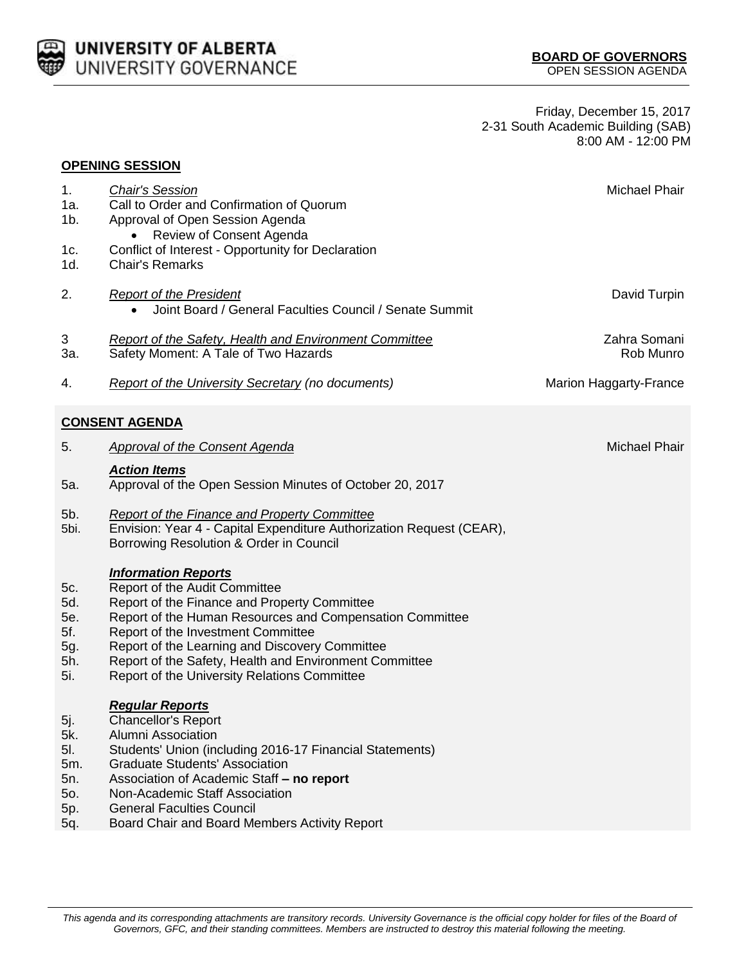

Friday, December 15, 2017 2-31 South Academic Building (SAB) 8:00 AM - 12:00 PM

|                                               | <b>OPENING SESSION</b>                                                                                                                                                                                                                                                                                                                                                    |                               |
|-----------------------------------------------|---------------------------------------------------------------------------------------------------------------------------------------------------------------------------------------------------------------------------------------------------------------------------------------------------------------------------------------------------------------------------|-------------------------------|
| 1.<br>1a.<br>1b.<br>1c.                       | <b>Chair's Session</b><br>Call to Order and Confirmation of Quorum<br>Approval of Open Session Agenda<br>Review of Consent Agenda<br>Conflict of Interest - Opportunity for Declaration                                                                                                                                                                                   | <b>Michael Phair</b>          |
| 1d.                                           | <b>Chair's Remarks</b>                                                                                                                                                                                                                                                                                                                                                    |                               |
| 2.                                            | <b>Report of the President</b><br>Joint Board / General Faculties Council / Senate Summit<br>$\bullet$                                                                                                                                                                                                                                                                    | David Turpin                  |
| 3<br>3а.                                      | <b>Report of the Safety, Health and Environment Committee</b><br>Safety Moment: A Tale of Two Hazards                                                                                                                                                                                                                                                                     | Zahra Somani<br>Rob Munro     |
| 4.                                            | <b>Report of the University Secretary (no documents)</b>                                                                                                                                                                                                                                                                                                                  | <b>Marion Haggarty-France</b> |
|                                               | <u>CONSENT AGENDA</u>                                                                                                                                                                                                                                                                                                                                                     |                               |
| 5.                                            | <b>Approval of the Consent Agenda</b>                                                                                                                                                                                                                                                                                                                                     | <b>Michael Phair</b>          |
| 5a.                                           | <b>Action Items</b><br>Approval of the Open Session Minutes of October 20, 2017                                                                                                                                                                                                                                                                                           |                               |
| 5b.<br>5bi.                                   | <b>Report of the Finance and Property Committee</b><br>Envision: Year 4 - Capital Expenditure Authorization Request (CEAR),<br>Borrowing Resolution & Order in Council                                                                                                                                                                                                    |                               |
| 5c.<br>5d.<br>5e.<br>5f.<br>5g.<br>5h.<br>5i. | <b>Information Reports</b><br>Report of the Audit Committee<br>Report of the Finance and Property Committee<br>Report of the Human Resources and Compensation Committee<br>Report of the Investment Committee<br>Report of the Learning and Discovery Committee<br>Report of the Safety, Health and Environment Committee<br>Report of the University Relations Committee |                               |
| 5j.<br>5k.<br>5I.<br>5m.<br>5n.<br>50.<br>5p. | <b>Regular Reports</b><br><b>Chancellor's Report</b><br>Alumni Association<br>Students' Union (including 2016-17 Financial Statements)<br><b>Graduate Students' Association</b><br>Association of Academic Staff - no report<br>Non-Academic Staff Association<br><b>General Faculties Council</b>                                                                        |                               |

5q. Board Chair and Board Members Activity Report